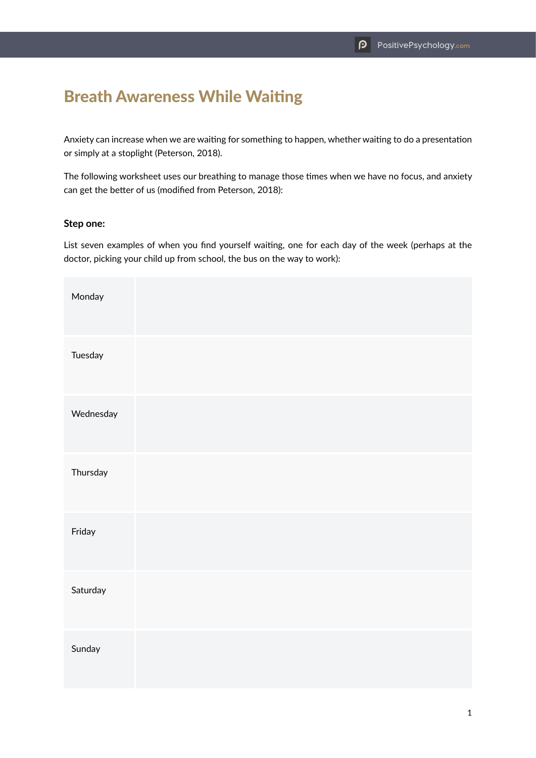# Breath Awareness While Waiting

Anxiety can increase when we are waiting for something to happen, whether waiting to do a presentation or simply at a stoplight (Peterson, 2018).

The following worksheet uses our breathing to manage those times when we have no focus, and anxiety can get the better of us (modified from Peterson, 2018):

### **Step one:**

List seven examples of when you find yourself waiting, one for each day of the week (perhaps at the doctor, picking your child up from school, the bus on the way to work):

| Monday    |  |  |  |
|-----------|--|--|--|
| Tuesday   |  |  |  |
| Wednesday |  |  |  |
| Thursday  |  |  |  |
| Friday    |  |  |  |
| Saturday  |  |  |  |
| Sunday    |  |  |  |